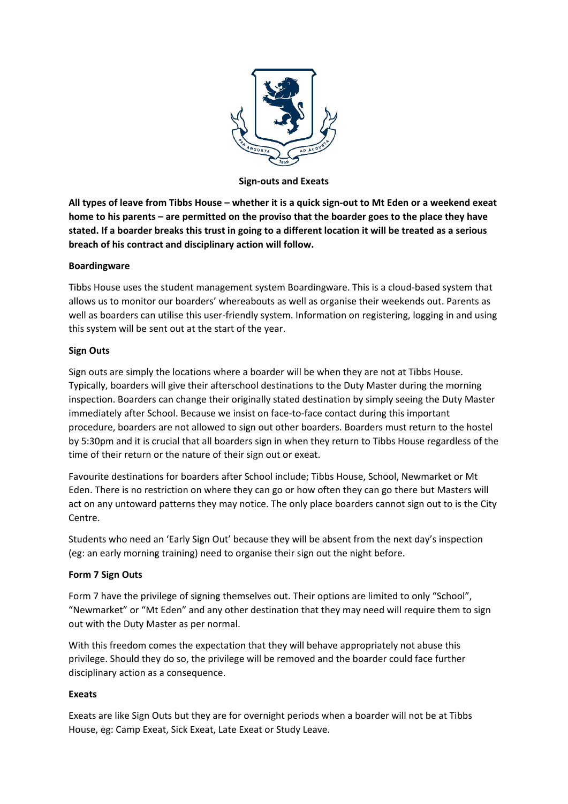

**Sign-outs and Exeats**

**All types of leave from Tibbs House – whether it is a quick sign-out to Mt Eden or a weekend exeat home to his parents – are permitted on the proviso that the boarder goes to the place they have stated. If a boarder breaks this trust in going to a different location it will be treated as a serious breach of his contract and disciplinary action will follow.**

## **Boardingware**

Tibbs House uses the student management system Boardingware. This is a cloud-based system that allows us to monitor our boarders' whereabouts as well as organise their weekends out. Parents as well as boarders can utilise this user-friendly system. Information on registering, logging in and using this system will be sent out at the start of the year.

## **Sign Outs**

Sign outs are simply the locations where a boarder will be when they are not at Tibbs House. Typically, boarders will give their afterschool destinations to the Duty Master during the morning inspection. Boarders can change their originally stated destination by simply seeing the Duty Master immediately after School. Because we insist on face-to-face contact during this important procedure, boarders are not allowed to sign out other boarders. Boarders must return to the hostel by 5:30pm and it is crucial that all boarders sign in when they return to Tibbs House regardless of the time of their return or the nature of their sign out or exeat.

Favourite destinations for boarders after School include; Tibbs House, School, Newmarket or Mt Eden. There is no restriction on where they can go or how often they can go there but Masters will act on any untoward patterns they may notice. The only place boarders cannot sign out to is the City Centre.

Students who need an 'Early Sign Out' because they will be absent from the next day's inspection (eg: an early morning training) need to organise their sign out the night before.

## **Form 7 Sign Outs**

Form 7 have the privilege of signing themselves out. Their options are limited to only "School", "Newmarket" or "Mt Eden" and any other destination that they may need will require them to sign out with the Duty Master as per normal.

With this freedom comes the expectation that they will behave appropriately not abuse this privilege. Should they do so, the privilege will be removed and the boarder could face further disciplinary action as a consequence.

## **Exeats**

Exeats are like Sign Outs but they are for overnight periods when a boarder will not be at Tibbs House, eg: Camp Exeat, Sick Exeat, Late Exeat or Study Leave.